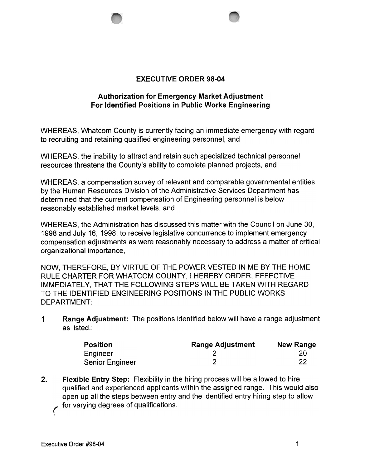

## Authorization for Emergency Market Adjustment For Identified Positions in Public Works Engineering

WHEREAS, Whatcom County is currently facing an immediate emergency with regard to recruiting and retaining qualified engineering personnel, and

WHEREAS, the inability to attract and retain such specialized technical personnel resources threatens the County's ability to complete planned projects, and

WHEREAS, a compensation survey of relevant and comparable governmental entities by the Human Resources Division of the Administrative Services Department has determined that the current compensation of Engineering personnel is below reasonably established market levels, and

WHEREAS, the Administration has discussed this matter with the Council on June 30, 1998 and July 16, 1998, to receive legislative concurrence to implement emergency compensation adjustments as were reasonably necessary to address a matter of critical organizational importance,

NOW, THEREFORE, BY VIRTUE OF THE POWER VESTED IN ME BY THE HOME RULE CHARTER FOR WHATCOM COUNTY, I HEREBY ORDER, EFFECTIVE IMMEDIATELY, THAT THE FOLLOWING STEPS WILL BE TAKEN WITH REGARD TO THE IDENTIFIED ENGINEERING POSITIONS IN THE PUBLIC WORKS DEPARTMENT:

1 Range Adjustment: The positions identified below will have a range adjustment as listed.:

| <b>Position</b>        | <b>Range Adjustment</b> | <b>New Range</b> |
|------------------------|-------------------------|------------------|
| Engineer               |                         | 20               |
| <b>Senior Engineer</b> |                         | -22              |

2. Flexible Entry Step: Flexibility in the hiring process will be allowed to hire qualified and experienced applicants within the assigned range. This would also open up all the steps between entry and the identified entry hiring step to allow for varying degrees of qualifications.